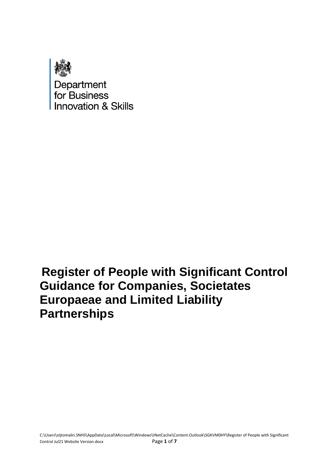

## **Register of People with Significant Control Guidance for Companies, Societates Europaeae and Limited Liability Partnerships**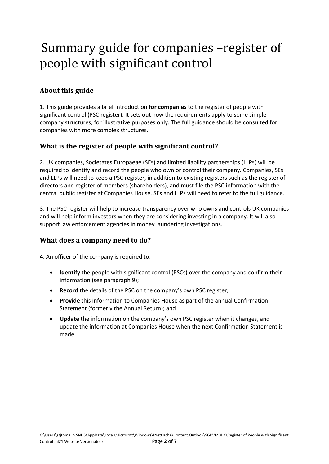# Summary guide for companies –register of people with significant control

## **About this guide**

1. This guide provides a brief introduction **for companies** to the register of people with significant control (PSC register). It sets out how the requirements apply to some simple company structures, for illustrative purposes only. The full guidance should be consulted for companies with more complex structures.

#### **What is the register of people with significant control?**

2. UK companies, Societates Europaeae (SEs) and limited liability partnerships (LLPs) will be required to identify and record the people who own or control their company. Companies, SEs and LLPs will need to keep a PSC register, in addition to existing registers such as the register of directors and register of members (shareholders), and must file the PSC information with the central public register at Companies House. SEs and LLPs will need to refer to the full guidance.

3. The PSC register will help to increase transparency over who owns and controls UK companies and will help inform investors when they are considering investing in a company. It will also support law enforcement agencies in money laundering investigations.

#### **What does a company need to do?**

4. An officer of the company is required to:

- **Identify** the people with significant control (PSCs) over the company and confirm their information (see paragraph 9);
- **Record** the details of the PSC on the company's own PSC register;
- **Provide** this information to Companies House as part of the annual Confirmation Statement (formerly the Annual Return); and
- **Update** the information on the company's own PSC register when it changes, and update the information at Companies House when the next Confirmation Statement is made.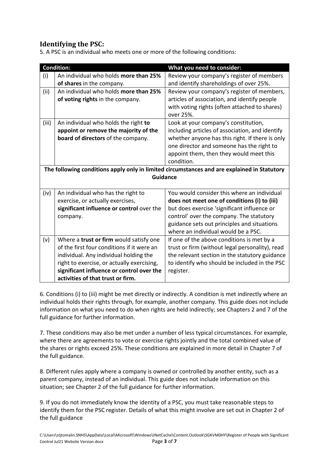## **Identifying the PSC:**

5. A PSC is an individual who meets one or more of the following conditions:

|                                                                                             | <b>Condition:</b>                                                  | What you need to consider:                                                           |  |  |  |  |  |
|---------------------------------------------------------------------------------------------|--------------------------------------------------------------------|--------------------------------------------------------------------------------------|--|--|--|--|--|
| (i)                                                                                         | An individual who holds more than 25%<br>of shares in the company. | Review your company's register of members<br>and identify shareholdings of over 25%. |  |  |  |  |  |
| (ii)                                                                                        | An individual who holds more than 25%                              | Review your company's register of members,                                           |  |  |  |  |  |
|                                                                                             | of voting rights in the company.                                   | articles of association, and identify people                                         |  |  |  |  |  |
|                                                                                             |                                                                    | with voting rights (often attached to shares)<br>over 25%.                           |  |  |  |  |  |
| (iii)                                                                                       | An individual who holds the right to                               | Look at your company's constitution,                                                 |  |  |  |  |  |
|                                                                                             | appoint or remove the majority of the                              | including articles of association, and identify                                      |  |  |  |  |  |
|                                                                                             | board of directors of the company.                                 | whether anyone has this right. If there is only                                      |  |  |  |  |  |
|                                                                                             |                                                                    | one director and someone has the right to                                            |  |  |  |  |  |
|                                                                                             |                                                                    | appoint them, then they would meet this                                              |  |  |  |  |  |
|                                                                                             |                                                                    | condition.                                                                           |  |  |  |  |  |
| The following conditions apply only in limited circumstances and are explained in Statutory |                                                                    |                                                                                      |  |  |  |  |  |
| <b>Guidance</b>                                                                             |                                                                    |                                                                                      |  |  |  |  |  |
| (iv)                                                                                        | An individual who has the right to                                 | You would consider this where an individual                                          |  |  |  |  |  |
|                                                                                             | exercise, or actually exercises,                                   | does not meet one of conditions (i) to (iii)                                         |  |  |  |  |  |
|                                                                                             | significant influence or control over the                          | but does exercise 'significant influence or                                          |  |  |  |  |  |
|                                                                                             | company.                                                           | control' over the company. The statutory                                             |  |  |  |  |  |
|                                                                                             |                                                                    | guidance sets out principles and situations                                          |  |  |  |  |  |
|                                                                                             |                                                                    | where an individual would be a PSC.                                                  |  |  |  |  |  |
| (v)                                                                                         | Where a trust or firm would satisfy one                            | If one of the above conditions is met by a                                           |  |  |  |  |  |
|                                                                                             | of the first four conditions if it were an                         | trust or firm (without legal personality), read                                      |  |  |  |  |  |
|                                                                                             | individual. Any individual holding the                             | the relevant section in the statutory guidance                                       |  |  |  |  |  |
|                                                                                             | right to exercise, or actually exercising,                         | to identify who should be included in the PSC                                        |  |  |  |  |  |
|                                                                                             | significant influence or control over the                          | register.                                                                            |  |  |  |  |  |
|                                                                                             | activities of that trust or firm.                                  |                                                                                      |  |  |  |  |  |

6. Conditions (i) to (iii) might be met directly or indirectly. A condition is met indirectly where an individual holds their rights through, for example, another company. This guide does not include information on what you need to do when rights are held indirectly; see Chapters 2 and 7 of the full guidance for further information.

7. These conditions may also be met under a number of less typical circumstances. For example, where there are agreements to vote or exercise rights jointly and the total combined value of the shares or rights exceed 25%. These conditions are explained in more detail in Chapter 7 of the full guidance.

8. Different rules apply where a company is owned or controlled by another entity, such as a parent company, instead of an individual. This guide does not include information on this situation; see Chapter 2 of the full guidance for further information.

9. If you do not immediately know the identity of a PSC, you must take reasonable steps to identify them for the PSC register. Details of what this might involve are set out in Chapter 2 of the full guidance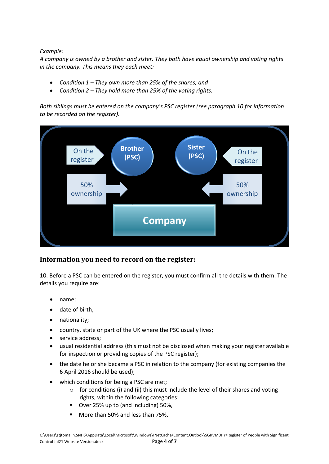#### *Example:*

*A company is owned by a brother and sister. They both have equal ownership and voting rights in the company. This means they each meet:*

- *Condition 1 – They own more than 25% of the shares; and*
- *Condition 2 – They hold more than 25% of the voting rights.*

*Both siblings must be entered on the company's PSC register (see paragraph 10 for information to be recorded on the register).* 



#### **Information you need to record on the register:**

10. Before a PSC can be entered on the register, you must confirm all the details with them. The details you require are:

- name;
- date of birth;
- nationality;
- country, state or part of the UK where the PSC usually lives;
- service address;
- usual residential address (this must not be disclosed when making your register available for inspection or providing copies of the PSC register);
- the date he or she became a PSC in relation to the company (for existing companies the 6 April 2016 should be used);
- which conditions for being a PSC are met;
	- $\circ$  for conditions (i) and (ii) this must include the level of their shares and voting rights, within the following categories:
	- Over 25% up to (and including) 50%,
	- More than 50% and less than 75%,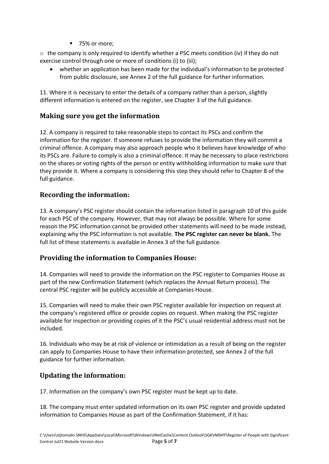75% or more:

 $\circ$  the company is only required to identify whether a PSC meets condition (iv) if they do not exercise control through one or more of conditions (i) to (iii);

whether an application has been made for the individual's information to be protected from public disclosure, see Annex 2 of the full guidance for further information.

11. Where it is necessary to enter the details of a company rather than a person, slightly different information is entered on the register, see Chapter 3 of the full guidance.

#### **Making sure you get the information**

12. A company is required to take reasonable steps to contact its PSCs and confirm the information for the register. If someone refuses to provide the information they will commit a criminal offence. A company may also approach people who it believes have knowledge of who its PSCs are. Failure to comply is also a criminal offence. It may be necessary to place restrictions on the shares or voting rights of the person or entity withholding information to make sure that they provide it. Where a company is considering this step they should refer to Chapter 8 of the full guidance.

#### **Recording the information:**

13. A company's PSC register should contain the information listed in paragraph 10 of this guide for each PSC of the company. However, that may not always be possible. Where for some reason the PSC information cannot be provided other statements will need to be made instead, explaining why the PSC information is not available. **The PSC register can never be blank.** The full list of these statements is available in Annex 3 of the full guidance.

## **Providing the information to Companies House:**

14. Companies will need to provide the information on the PSC register to Companies House as part of the new Confirmation Statement (which replaces the Annual Return process). The central PSC register will be publicly accessible at Companies House.

15. Companies will need to make their own PSC register available for inspection on request at the company's registered office or provide copies on request. When making the PSC register available for inspection or providing copies of it the PSC's usual residential address must not be included.

16. Individuals who may be at risk of violence or intimidation as a result of being on the register can apply to Companies House to have their information protected, see Annex 2 of the full guidance for further information.

## **Updating the information:**

17. Information on the company's own PSC register must be kept up to date.

18. The company must enter updated information on its own PSC register and provide updated information to Companies House as part of the Confirmation Statement, if it has: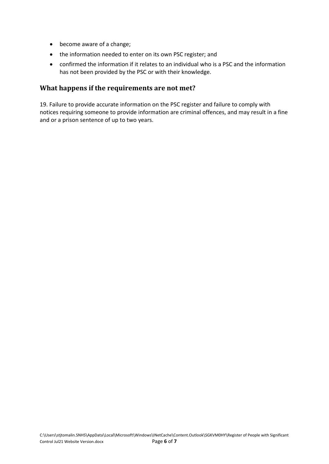- become aware of a change;
- the information needed to enter on its own PSC register; and
- confirmed the information if it relates to an individual who is a PSC and the information has not been provided by the PSC or with their knowledge.

#### **What happens if the requirements are not met?**

19. Failure to provide accurate information on the PSC register and failure to comply with notices requiring someone to provide information are criminal offences, and may result in a fine and or a prison sentence of up to two years.